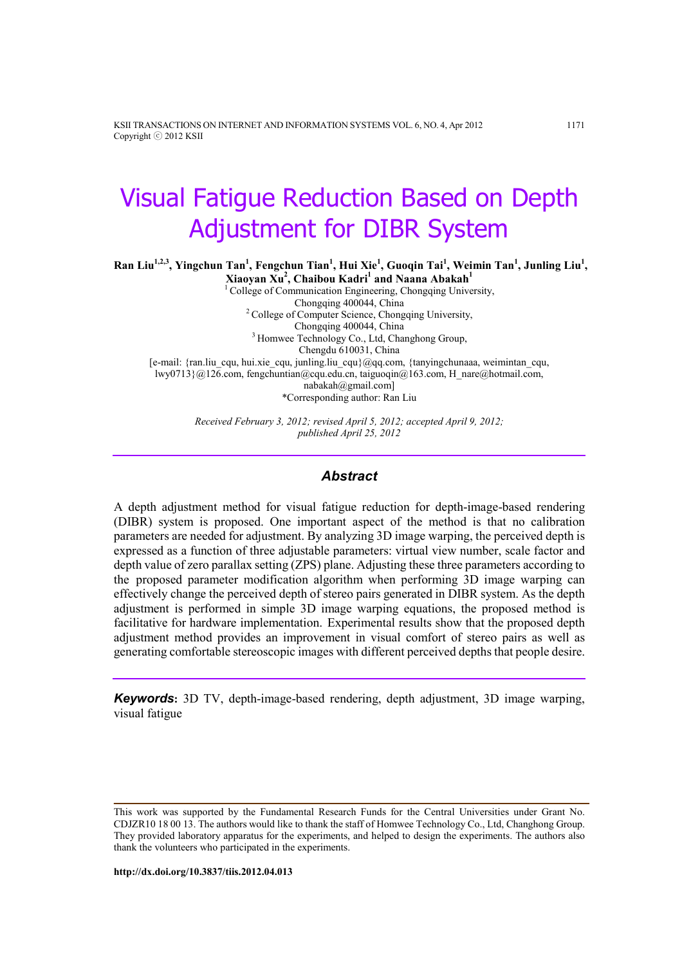KSII TRANSACTIONS ON INTERNET AND INFORMATION SYSTEMS VOL. 6, NO. 4, Apr 2012 1171 Copyright ⓒ 2012 KSII

# Visual Fatigue Reduction Based on Depth Adjustment for DIBR System

Ran Liu<sup>1,2,3</sup>, Yingchun Tan<sup>1</sup>, Fengchun Tian<sup>1</sup>, Hui Xie<sup>1</sup>, Guoqin Tai<sup>1</sup>, Weimin Tan<sup>1</sup>, Junling Liu<sup>1</sup>,

Xiaoyan Xu<sup>2</sup>, Chaibou Kadri<sup>1</sup> and Naana Abakah<sup>1</sup> <sup>1</sup> College of Communication Engineering, Chongqing University, Chongqing 400044, China <sup>2</sup> College of Computer Science, Chongqing University, Chongqing 400044, China <sup>3</sup> Homwee Technology Co., Ltd, Changhong Group, Chengdu 610031, China [e-mail: {ran.liu\_cqu, hui.xie\_cqu, junling.liu\_cqu}@qq.com, {tanyingchunaaa, weimintan\_cqu, lwy0713}@126.com, fengchuntian@cqu.edu.cn, taiguoqin@163.com, H\_nare@hotmail.com, nabakah@gmail.com] \*Corresponding author: Ran Liu

> Received February 3, 2012; revised April 5, 2012; accepted April 9, 2012; published April 25, 2012

#### Abstract

A depth adjustment method for visual fatigue reduction for depth-image-based rendering (DIBR) system is proposed. One important aspect of the method is that no calibration parameters are needed for adjustment. By analyzing 3D image warping, the perceived depth is expressed as a function of three adjustable parameters: virtual view number, scale factor and depth value of zero parallax setting (ZPS) plane. Adjusting these three parameters according to the proposed parameter modification algorithm when performing 3D image warping can effectively change the perceived depth of stereo pairs generated in DIBR system. As the depth adjustment is performed in simple 3D image warping equations, the proposed method is facilitative for hardware implementation. Experimental results show that the proposed depth adjustment method provides an improvement in visual comfort of stereo pairs as well as generating comfortable stereoscopic images with different perceived depths that people desire.

Keywords: 3D TV, depth-image-based rendering, depth adjustment, 3D image warping, visual fatigue

This work was supported by the Fundamental Research Funds for the Central Universities under Grant No. CDJZR10 18 00 13. The authors would like to thank the staff of Homwee Technology Co., Ltd, Changhong Group. They provided laboratory apparatus for the experiments, and helped to design the experiments. The authors also thank the volunteers who participated in the experiments.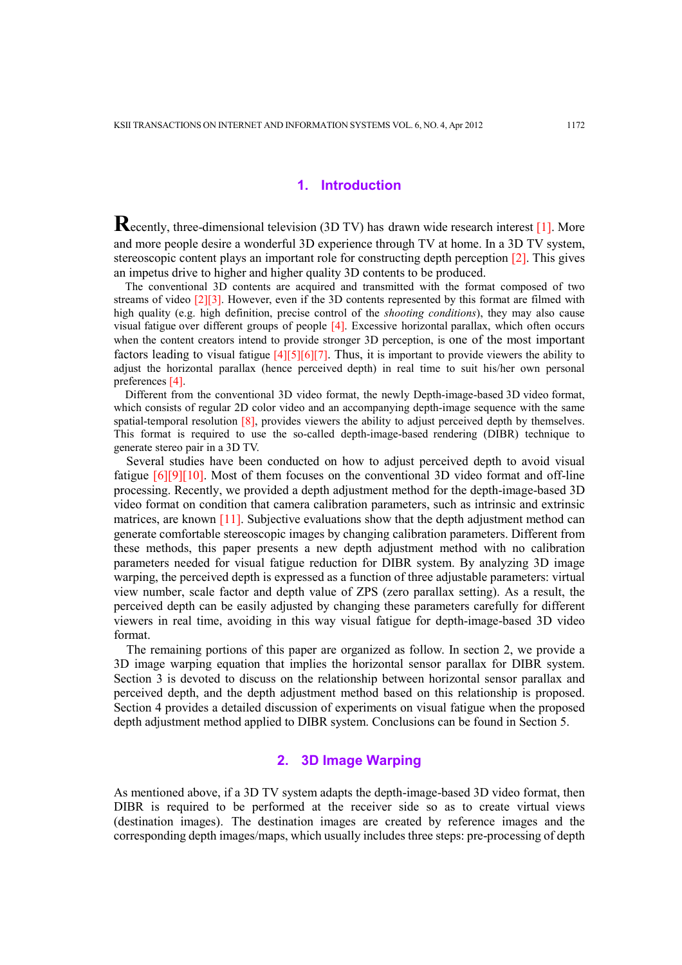## 1. Introduction

Recently, three-dimensional television (3D TV) has drawn wide research interest [1]. More and more people desire a wonderful 3D experience through TV at home. In a 3D TV system, stereoscopic content plays an important role for constructing depth perception [2]. This gives an impetus drive to higher and higher quality 3D contents to be produced.

The conventional 3D contents are acquired and transmitted with the format composed of two streams of video  $[2][3]$ . However, even if the 3D contents represented by this format are filmed with high quality (e.g. high definition, precise control of the *shooting conditions*), they may also cause visual fatigue over different groups of people [4]. Excessive horizontal parallax, which often occurs when the content creators intend to provide stronger 3D perception, is one of the most important factors leading to visual fatigue [4][5][6][7]. Thus, it is important to provide viewers the ability to adjust the horizontal parallax (hence perceived depth) in real time to suit his/her own personal preferences [4].

Different from the conventional 3D video format, the newly Depth-image-based 3D video format, which consists of regular 2D color video and an accompanying depth-image sequence with the same spatial-temporal resolution [8], provides viewers the ability to adjust perceived depth by themselves. This format is required to use the so-called depth-image-based rendering (DIBR) technique to generate stereo pair in a 3D TV.

Several studies have been conducted on how to adjust perceived depth to avoid visual fatigue [6][9][10]. Most of them focuses on the conventional 3D video format and off-line processing. Recently, we provided a depth adjustment method for the depth-image-based 3D video format on condition that camera calibration parameters, such as intrinsic and extrinsic matrices, are known [11]. Subjective evaluations show that the depth adjustment method can generate comfortable stereoscopic images by changing calibration parameters. Different from these methods, this paper presents a new depth adjustment method with no calibration parameters needed for visual fatigue reduction for DIBR system. By analyzing 3D image warping, the perceived depth is expressed as a function of three adjustable parameters: virtual view number, scale factor and depth value of ZPS (zero parallax setting). As a result, the perceived depth can be easily adjusted by changing these parameters carefully for different viewers in real time, avoiding in this way visual fatigue for depth-image-based 3D video format.

The remaining portions of this paper are organized as follow. In section 2, we provide a 3D image warping equation that implies the horizontal sensor parallax for DIBR system. Section 3 is devoted to discuss on the relationship between horizontal sensor parallax and perceived depth, and the depth adjustment method based on this relationship is proposed. Section 4 provides a detailed discussion of experiments on visual fatigue when the proposed depth adjustment method applied to DIBR system. Conclusions can be found in Section 5.

# 2. 3D Image Warping

As mentioned above, if a 3D TV system adapts the depth-image-based 3D video format, then DIBR is required to be performed at the receiver side so as to create virtual views (destination images). The destination images are created by reference images and the corresponding depth images/maps, which usually includes three steps: pre-processing of depth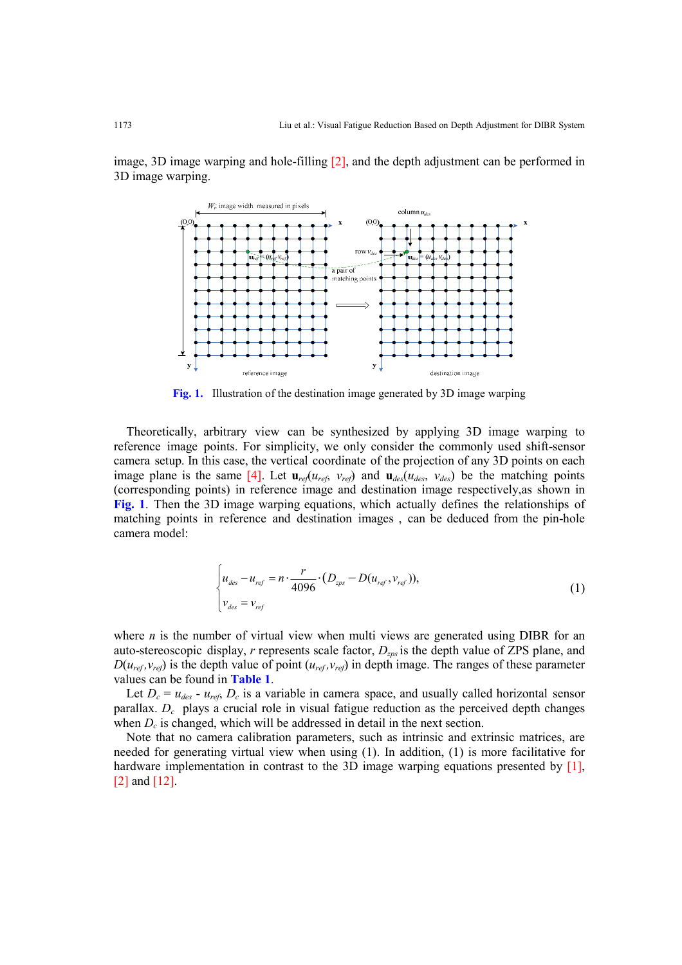image, 3D image warping and hole-filling [2], and the depth adjustment can be performed in 3D image warping.



Fig. 1. Illustration of the destination image generated by 3D image warping

Theoretically, arbitrary view can be synthesized by applying 3D image warping to reference image points. For simplicity, we only consider the commonly used shift-sensor camera setup. In this case, the vertical coordinate of the projection of any 3D points on each image plane is the same [4]. Let  $\mathbf{u}_{ref}(u_{ref}, v_{ref})$  and  $\mathbf{u}_{des}(u_{des}, v_{des})$  be the matching points (corresponding points) in reference image and destination image respectively,as shown in Fig. 1. Then the 3D image warping equations, which actually defines the relationships of matching points in reference and destination images , can be deduced from the pin-hole camera model:

$$
\begin{cases}\n u_{des} - u_{ref} = n \cdot \frac{r}{4096} \cdot (D_{zps} - D(u_{ref}, v_{ref})), \\
 v_{des} = v_{ref}\n\end{cases}
$$
\n(1)

where  $n$  is the number of virtual view when multi views are generated using DIBR for an auto-stereoscopic display,  $r$  represents scale factor,  $D_{zps}$  is the depth value of ZPS plane, and  $D(u_{ref}, v_{ref})$  is the depth value of point  $(u_{ref}, v_{ref})$  in depth image. The ranges of these parameter values can be found in Table 1.

Let  $D_c = u_{des} - u_{ref}$ ,  $D_c$  is a variable in camera space, and usually called horizontal sensor parallax.  $D_c$  plays a crucial role in visual fatigue reduction as the perceived depth changes when  $D_c$  is changed, which will be addressed in detail in the next section.

Note that no camera calibration parameters, such as intrinsic and extrinsic matrices, are needed for generating virtual view when using (1). In addition, (1) is more facilitative for hardware implementation in contrast to the 3D image warping equations presented by [1], [2] and [12].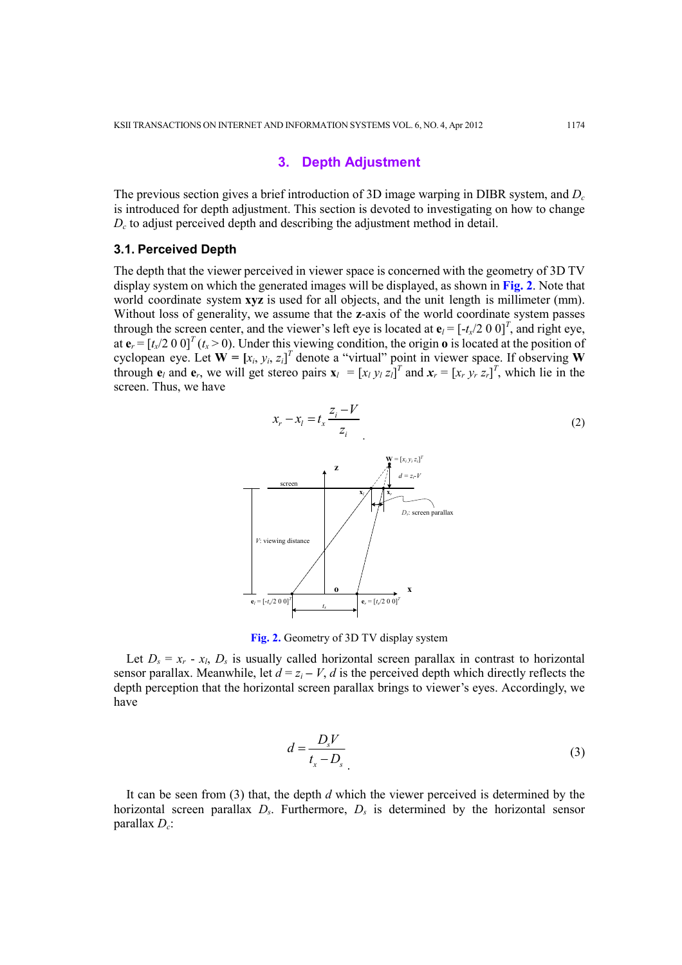## 3. Depth Adjustment

The previous section gives a brief introduction of 3D image warping in DIBR system, and  $D_c$ is introduced for depth adjustment. This section is devoted to investigating on how to change  $D_c$  to adjust perceived depth and describing the adjustment method in detail.

#### 3.1. Perceived Depth

The depth that the viewer perceived in viewer space is concerned with the geometry of 3D TV display system on which the generated images will be displayed, as shown in Fig. 2. Note that world coordinate system xyz is used for all objects, and the unit length is millimeter (mm). Without loss of generality, we assume that the **z**-axis of the world coordinate system passes through the screen center, and the viewer's left eye is located at  $\mathbf{e}_l = [-t_x/2 \ 0 \ 0]^T$ , and right eye, at  ${\bf e}_r = [t_x/2 \ 0 \ 0]^T (t_x > 0)$ . Under this viewing condition, the origin o is located at the position of cyclopean eye. Let  $\mathbf{W} = [x_i, y_i, z_i]^T$  denote a "virtual" point in viewer space. If observing W through  $e_l$  and  $e_r$ , we will get stereo pairs  $\mathbf{x}_l = [x_l y_l z_l]^T$  and  $\mathbf{x}_r = [x_r y_r z_r]^T$ , which lie in the screen. Thus, we have



Fig. 2. Geometry of 3D TV display system

Let  $D_s = x_r - x_l$ ,  $D_s$  is usually called horizontal screen parallax in contrast to horizontal sensor parallax. Meanwhile, let  $d = z_i - V$ , d is the perceived depth which directly reflects the depth perception that the horizontal screen parallax brings to viewer's eyes. Accordingly, we have

$$
d = \frac{D_s V}{t_x - D_s} \tag{3}
$$

It can be seen from  $(3)$  that, the depth d which the viewer perceived is determined by the horizontal screen parallax  $D_s$ . Furthermore,  $D_s$  is determined by the horizontal sensor parallax  $D_c$ :

(2)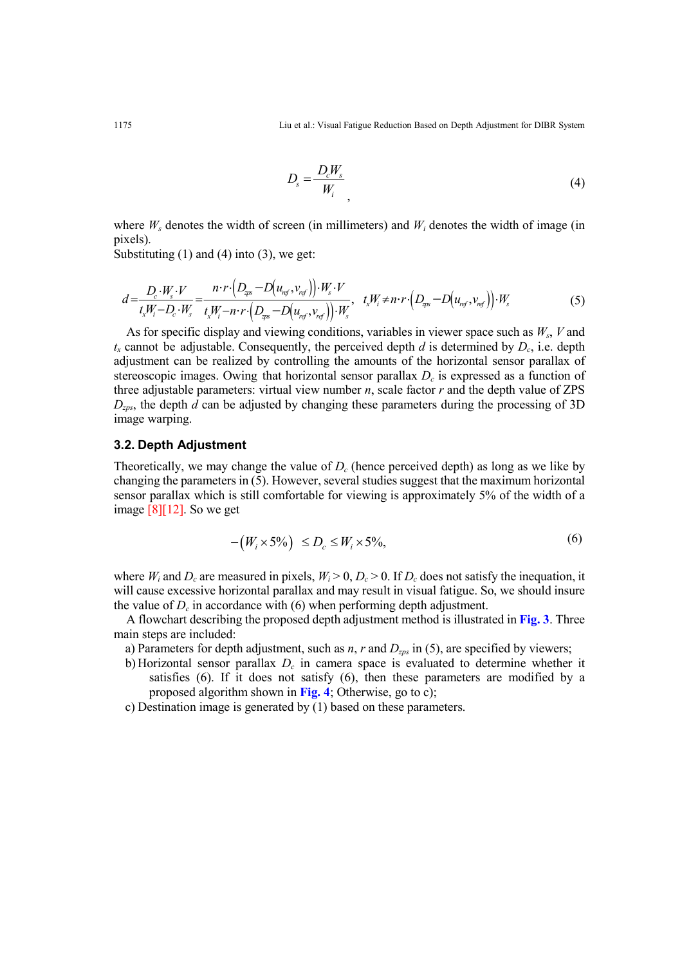1175 Liu et al.: Visual Fatigue Reduction Based on Depth Adjustment for DIBR System

$$
D_s = \frac{D_c W_s}{W_i} \tag{4}
$$

where  $W_s$  denotes the width of screen (in millimeters) and  $W_i$  denotes the width of image (in pixels).

Substituting  $(1)$  and  $(4)$  into  $(3)$ , we get:

$$
d = \frac{D_c \cdot W_s \cdot V}{t_x W_i - D_c \cdot W_s} = \frac{n \cdot r \cdot (D_{\text{ex}} - D(u_{\text{ref}}, v_{\text{ref}})) \cdot W_s \cdot V}{t_x W_i - n \cdot r \cdot (D_{\text{ex}} - D(u_{\text{ref}}, v_{\text{ref}})) \cdot W_s}, \quad t_x W_i \neq n \cdot r \cdot (D_{\text{ex}} - D(u_{\text{ref}}, v_{\text{ref}})) \cdot W_s
$$
(5)

As for specific display and viewing conditions, variables in viewer space such as  $W_s$ ,  $V$  and  $t_x$  cannot be adjustable. Consequently, the perceived depth d is determined by  $D_c$ , i.e. depth adjustment can be realized by controlling the amounts of the horizontal sensor parallax of stereoscopic images. Owing that horizontal sensor parallax  $D<sub>c</sub>$  is expressed as a function of three adjustable parameters: virtual view number  $n$ , scale factor  $r$  and the depth value of ZPS  $D_{zps}$ , the depth d can be adjusted by changing these parameters during the processing of 3D image warping.

# 3.2. Depth Adjustment

Theoretically, we may change the value of  $D_c$  (hence perceived depth) as long as we like by changing the parameters in (5). However, several studies suggest that the maximum horizontal sensor parallax which is still comfortable for viewing is approximately 5% of the width of a image [8][12]. So we get

$$
-(W_i \times 5\%) \le D_c \le W_i \times 5\%,\tag{6}
$$

where  $W_i$  and  $D_c$  are measured in pixels,  $W_i > 0$ ,  $D_c > 0$ . If  $D_c$  does not satisfy the inequation, it will cause excessive horizontal parallax and may result in visual fatigue. So, we should insure the value of  $D_c$  in accordance with (6) when performing depth adjustment.

A flowchart describing the proposed depth adjustment method is illustrated in Fig. 3. Three main steps are included:

- a) Parameters for depth adjustment, such as *n*, *r* and  $D_{zps}$  in (5), are specified by viewers;
- b) Horizontal sensor parallax  $D<sub>c</sub>$  in camera space is evaluated to determine whether it satisfies (6). If it does not satisfy (6), then these parameters are modified by a proposed algorithm shown in Fig. 4; Otherwise, go to c);
- c) Destination image is generated by (1) based on these parameters.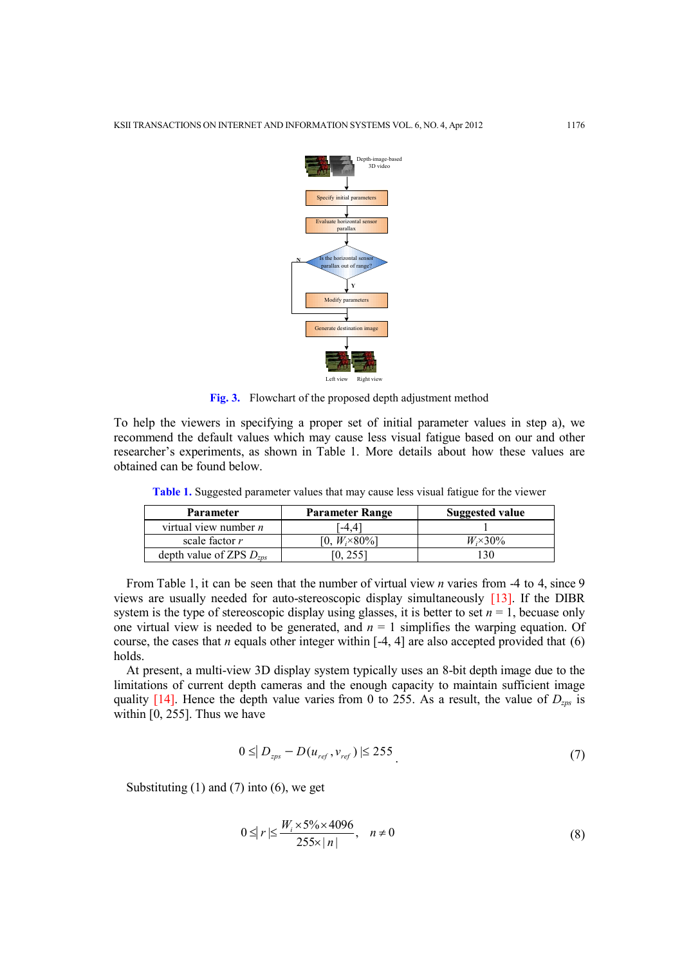

Fig. 3. Flowchart of the proposed depth adjustment method

To help the viewers in specifying a proper set of initial parameter values in step a), we recommend the default values which may cause less visual fatigue based on our and other researcher's experiments, as shown in Table 1. More details about how these values are obtained can be found below.

| Parameter                    | <b>Parameter Range</b>  | Suggested value |
|------------------------------|-------------------------|-----------------|
| virtual view number $n$      | $-4.4$                  |                 |
| scale factor $r$             | [0, $W_i \times 80\%$ ] | $W \times 30\%$ |
| depth value of ZPS $D_{zps}$ | [0, 255]                | 130             |

Table 1. Suggested parameter values that may cause less visual fatigue for the viewer

From Table 1, it can be seen that the number of virtual view *n* varies from -4 to 4, since 9 views are usually needed for auto-stereoscopic display simultaneously [13]. If the DIBR system is the type of stereoscopic display using glasses, it is better to set  $n = 1$ , becuase only one virtual view is needed to be generated, and  $n = 1$  simplifies the warping equation. Of course, the cases that *n* equals other integer within  $[-4, 4]$  are also accepted provided that  $(6)$ holds.

At present, a multi-view 3D display system typically uses an 8-bit depth image due to the limitations of current depth cameras and the enough capacity to maintain sufficient image quality [14]. Hence the depth value varies from 0 to 255. As a result, the value of  $D_{zps}$  is within [0, 255]. Thus we have

$$
0 \leq |D_{zps} - D(u_{ref}, v_{ref})| \leq 255
$$
\n(7)

Substituting  $(1)$  and  $(7)$  into  $(6)$ , we get

$$
0 \leq r \leq \frac{W_i \times 5\% \times 4096}{255 \times |n|}, \quad n \neq 0
$$
\n
$$
(8)
$$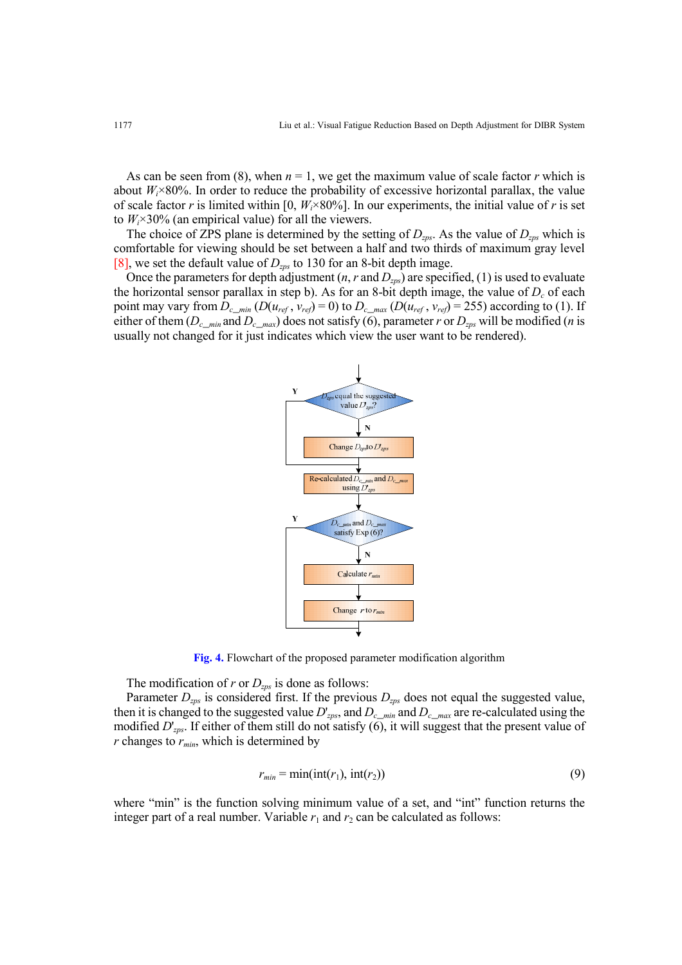As can be seen from (8), when  $n = 1$ , we get the maximum value of scale factor r which is about  $W_i \times 80\%$ . In order to reduce the probability of excessive horizontal parallax, the value of scale factor r is limited within [0,  $W_i \times 80\%$ ]. In our experiments, the initial value of r is set to  $W_i \times 30\%$  (an empirical value) for all the viewers.

The choice of ZPS plane is determined by the setting of  $D_{zps}$ . As the value of  $D_{zps}$  which is comfortable for viewing should be set between a half and two thirds of maximum gray level [8], we set the default value of  $D_{\text{zps}}$  to 130 for an 8-bit depth image.

Once the parameters for depth adjustment  $(n, r \text{ and } D_{zps})$  are specified, (1) is used to evaluate the horizontal sensor parallax in step b). As for an 8-bit depth image, the value of  $D_c$  of each point may vary from  $D_{c\_min}$  ( $D(u_{ref}, v_{ref}) = 0$ ) to  $D_{c\_max}$  ( $D(u_{ref}, v_{ref}) = 255$ ) according to (1). If either of them  $(D_{c\_min}$  and  $D_{c\_max}$ ) does not satisfy (6), parameter r or  $D_{zps}$  will be modified (n is usually not changed for it just indicates which view the user want to be rendered).



Fig. 4. Flowchart of the proposed parameter modification algorithm

The modification of r or  $D_{zps}$  is done as follows:

Parameter  $D_{zps}$  is considered first. If the previous  $D_{zps}$  does not equal the suggested value, then it is changed to the suggested value  $D'_{zps}$ , and  $D_{c\_min}$  and  $D_{c\_max}$  are re-calculated using the modified  $D'_{zps}$ . If either of them still do not satisfy (6), it will suggest that the present value of r changes to  $r_{min}$ , which is determined by

$$
r_{min} = \min(\text{int}(r_1), \text{int}(r_2))
$$
\n(9)

where "min" is the function solving minimum value of a set, and "int" function returns the integer part of a real number. Variable  $r_1$  and  $r_2$  can be calculated as follows: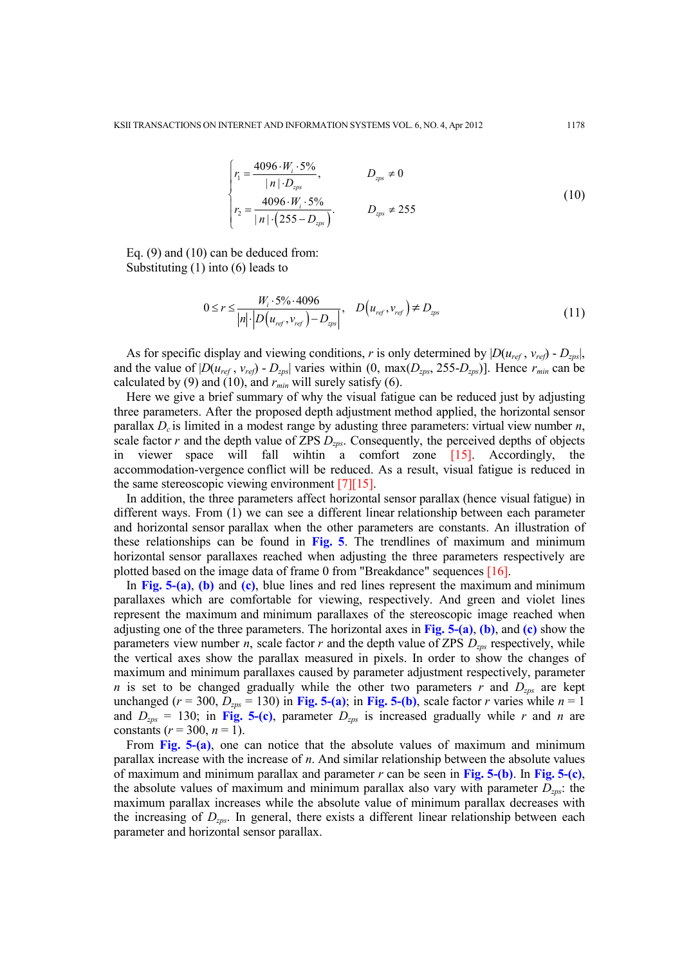$$
\begin{cases}\nr_1 = \frac{4096 \cdot W_i \cdot 5\%}{|n| \cdot D_{\text{2ps}}}, & D_{\text{2ps}} \neq 0 \\
r_2 = \frac{4096 \cdot W_i \cdot 5\%}{|n| \cdot (255 - D_{\text{2ps}})}.\n\end{cases}
$$
\n(10)

Eq. (9) and (10) can be deduced from: Substituting (1) into (6) leads to

$$
0 \le r \le \frac{W_i \cdot 5\% \cdot 4096}{|n| \cdot |D(u_{ref}, v_{ref}) - D_{zps}|}, \quad D(u_{ref}, v_{ref}) \ne D_{zps} \tag{11}
$$

As for specific display and viewing conditions, r is only determined by  $|D(u_{ref}, v_{ref}) - D_{zps}|$ , and the value of  $|D(u_{ref}, v_{ref}) - D_{zps}|$  varies within  $(0, \max(D_{zps}, 255 - D_{zps})]$ . Hence  $r_{min}$  can be calculated by (9) and (10), and  $r_{min}$  will surely satisfy (6).

Here we give a brief summary of why the visual fatigue can be reduced just by adjusting three parameters. After the proposed depth adjustment method applied, the horizontal sensor parallax  $D<sub>c</sub>$  is limited in a modest range by adusting three parameters: virtual view number *n*, scale factor  $r$  and the depth value of ZPS  $D_{zps}$ . Consequently, the perceived depths of objects in viewer space will fall wihtin a comfort zone [15]. Accordingly, the accommodation-vergence conflict will be reduced. As a result, visual fatigue is reduced in the same stereoscopic viewing environment [7][15].

In addition, the three parameters affect horizontal sensor parallax (hence visual fatigue) in different ways. From (1) we can see a different linear relationship between each parameter and horizontal sensor parallax when the other parameters are constants. An illustration of these relationships can be found in Fig. 5. The trendlines of maximum and minimum horizontal sensor parallaxes reached when adjusting the three parameters respectively are plotted based on the image data of frame 0 from "Breakdance" sequences [16].

In Fig.  $5-(a)$ , (b) and (c), blue lines and red lines represent the maximum and minimum parallaxes which are comfortable for viewing, respectively. And green and violet lines represent the maximum and minimum parallaxes of the stereoscopic image reached when adjusting one of the three parameters. The horizontal axes in Fig.  $5-(a)$ , (b), and (c) show the parameters view number *n*, scale factor *r* and the depth value of ZPS  $D_{zps}$  respectively, while the vertical axes show the parallax measured in pixels. In order to show the changes of maximum and minimum parallaxes caused by parameter adjustment respectively, parameter n is set to be changed gradually while the other two parameters r and  $D_{zps}$  are kept unchanged ( $r = 300$ ,  $D_{zps} = 130$ ) in Fig. 5-(a); in Fig. 5-(b), scale factor r varies while  $n = 1$ and  $D_{zps} = 130$ ; in Fig. 5-(c), parameter  $D_{zps}$  is increased gradually while r and n are constants ( $r = 300$ ,  $n = 1$ ).

From Fig. 5-(a), one can notice that the absolute values of maximum and minimum parallax increase with the increase of n. And similar relationship between the absolute values of maximum and minimum parallax and parameter r can be seen in Fig. 5-(b). In Fig. 5-(c), the absolute values of maximum and minimum parallax also vary with parameter  $D_{zps}$ : the maximum parallax increases while the absolute value of minimum parallax decreases with the increasing of  $D_{zps}$ . In general, there exists a different linear relationship between each parameter and horizontal sensor parallax.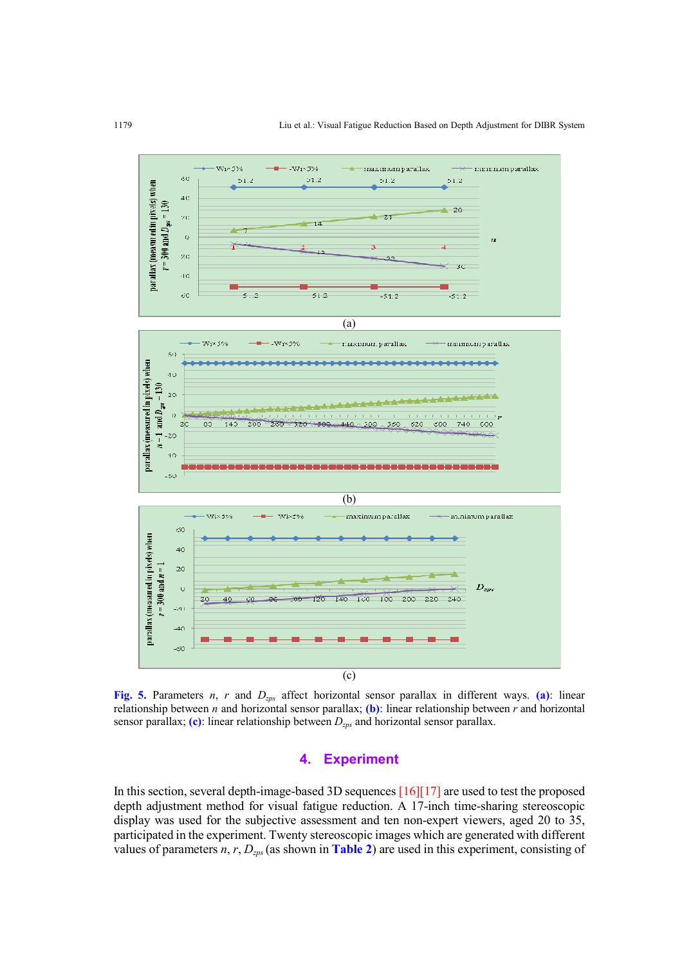

Fig. 5. Parameters n, r and  $D_{zps}$  affect horizontal sensor parallax in different ways. (a): linear relationship between *n* and horizontal sensor parallax; (b): linear relationship between *r* and horizontal sensor parallax; (c): linear relationship between  $D_{zps}$  and horizontal sensor parallax.

## 4. Experiment

In this section, several depth-image-based 3D sequences [16][17] are used to test the proposed depth adjustment method for visual fatigue reduction. A 17-inch time-sharing stereoscopic display was used for the subjective assessment and ten non-expert viewers, aged 20 to 35, participated in the experiment. Twenty stereoscopic images which are generated with different values of parameters  $n, r, D_{zps}$  (as shown in Table 2) are used in this experiment, consisting of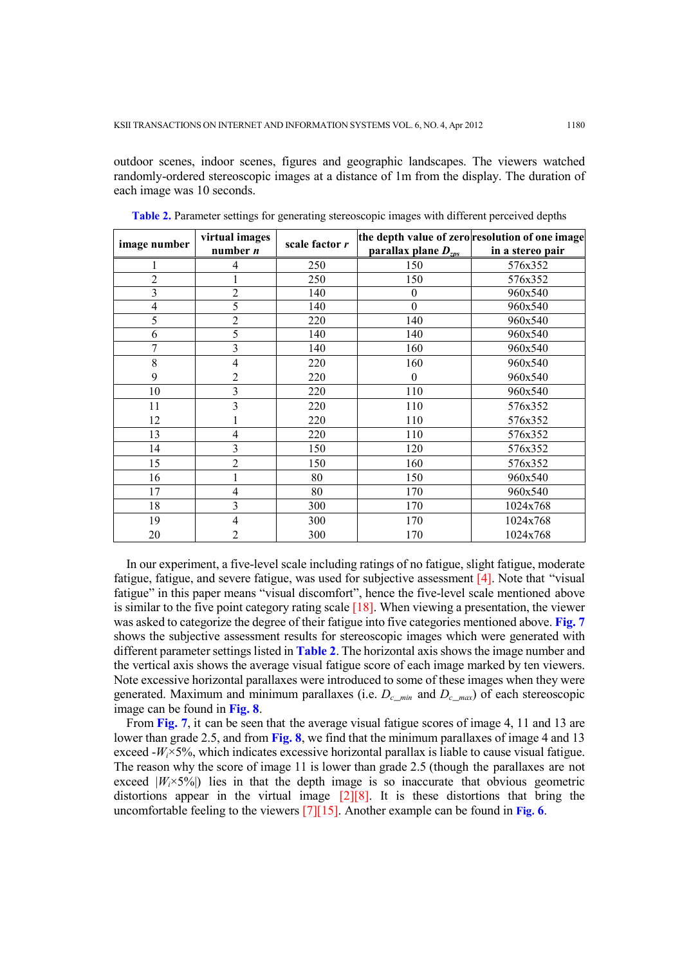outdoor scenes, indoor scenes, figures and geographic landscapes. The viewers watched randomly-ordered stereoscopic images at a distance of 1m from the display. The duration of each image was 10 seconds.

| image number   | virtual images | scale factor r |                                 | the depth value of zero resolution of one image |
|----------------|----------------|----------------|---------------------------------|-------------------------------------------------|
|                | number $n$     |                | parallax plane $D_{\text{zps}}$ | in a stereo pair                                |
| 1              | 4              | 250            | 150                             | 576x352                                         |
| $\overline{2}$ |                | 250            | 150                             | 576x352                                         |
| 3              | $\overline{2}$ | 140            | $\theta$                        | 960x540                                         |
| 4              | 5              | 140            | $\theta$                        | 960x540                                         |
| 5              | $\overline{c}$ | 220            | 140                             | 960x540                                         |
| 6              | 5              | 140            | 140                             | 960x540                                         |
| 7              | 3              | 140            | 160                             | 960x540                                         |
| 8              | 4              | 220            | 160                             | 960x540                                         |
| 9              | $\overline{2}$ | 220            | $\theta$                        | 960x540                                         |
| 10             | $\overline{3}$ | 220            | 110                             | 960x540                                         |
| 11             | 3              | 220            | 110                             | 576x352                                         |
| 12             |                | 220            | 110                             | 576x352                                         |
| 13             | 4              | 220            | 110                             | 576x352                                         |
| 14             | 3              | 150            | 120                             | 576x352                                         |
| 15             | $\overline{2}$ | 150            | 160                             | 576x352                                         |
| 16             |                | 80             | 150                             | 960x540                                         |
| 17             | 4              | 80             | 170                             | 960x540                                         |
| 18             | 3              | 300            | 170                             | 1024x768                                        |
| 19             | 4              | 300            | 170                             | 1024x768                                        |
| 20             | 2              | 300            | 170                             | 1024x768                                        |

Table 2. Parameter settings for generating stereoscopic images with different perceived depths

In our experiment, a five-level scale including ratings of no fatigue, slight fatigue, moderate fatigue, fatigue, and severe fatigue, was used for subjective assessment [4]. Note that "visual fatigue" in this paper means "visual discomfort", hence the five-level scale mentioned above is similar to the five point category rating scale [18]. When viewing a presentation, the viewer was asked to categorize the degree of their fatigue into five categories mentioned above. Fig. 7 shows the subjective assessment results for stereoscopic images which were generated with different parameter settings listed in **Table 2**. The horizontal axis shows the image number and the vertical axis shows the average visual fatigue score of each image marked by ten viewers. Note excessive horizontal parallaxes were introduced to some of these images when they were generated. Maximum and minimum parallaxes (i.e.  $D_c$ <sub>min</sub> and  $D_c$ <sub>max</sub>) of each stereoscopic image can be found in Fig. 8.

From Fig. 7, it can be seen that the average visual fatigue scores of image 4, 11 and 13 are lower than grade 2.5, and from Fig. 8, we find that the minimum parallaxes of image 4 and 13 exceed  $-W_1 \times 5\%$ , which indicates excessive horizontal parallax is liable to cause visual fatigue. The reason why the score of image 11 is lower than grade 2.5 (though the parallaxes are not exceed  $|W_i \times 5\%|$ ) lies in that the depth image is so inaccurate that obvious geometric distortions appear in the virtual image  $[2][8]$ . It is these distortions that bring the uncomfortable feeling to the viewers [7][15]. Another example can be found in Fig. 6.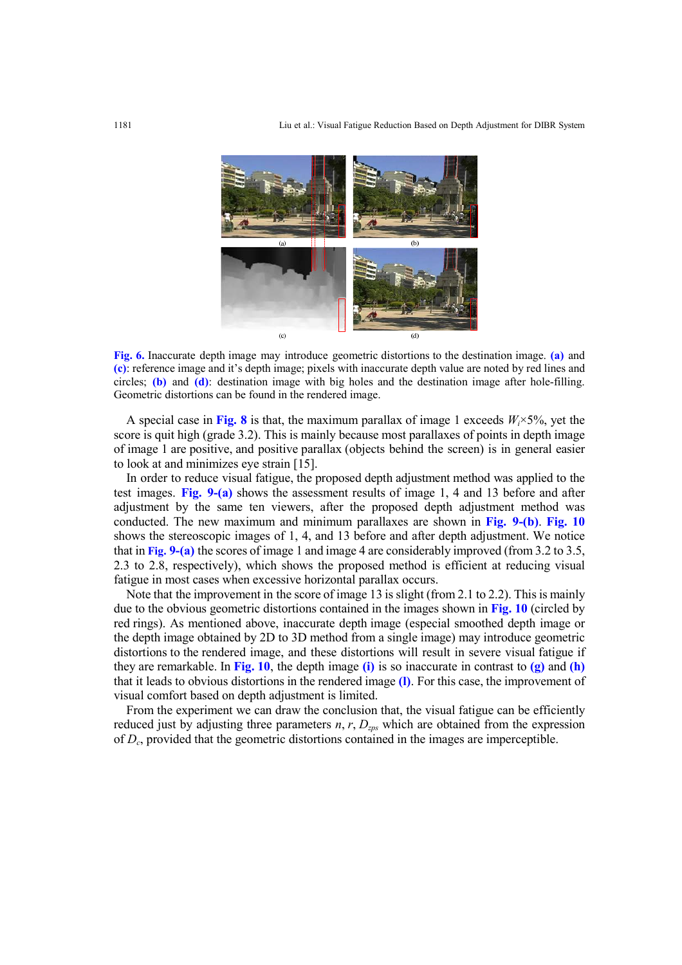

Fig. 6. Inaccurate depth image may introduce geometric distortions to the destination image. (a) and (c): reference image and it's depth image; pixels with inaccurate depth value are noted by red lines and circles; (b) and (d): destination image with big holes and the destination image after hole-filling. Geometric distortions can be found in the rendered image.

A special case in Fig. 8 is that, the maximum parallax of image 1 exceeds  $W_i \times 5\%$ , yet the score is quit high (grade 3.2). This is mainly because most parallaxes of points in depth image of image 1 are positive, and positive parallax (objects behind the screen) is in general easier to look at and minimizes eye strain [15].

In order to reduce visual fatigue, the proposed depth adjustment method was applied to the test images. Fig. 9-(a) shows the assessment results of image 1, 4 and 13 before and after adjustment by the same ten viewers, after the proposed depth adjustment method was conducted. The new maximum and minimum parallaxes are shown in Fig.  $9-(b)$ . Fig. 10 shows the stereoscopic images of 1, 4, and 13 before and after depth adjustment. We notice that in Fig. 9-(a) the scores of image 1 and image 4 are considerably improved (from 3.2 to 3.5, 2.3 to 2.8, respectively), which shows the proposed method is efficient at reducing visual fatigue in most cases when excessive horizontal parallax occurs.

Note that the improvement in the score of image 13 is slight (from 2.1 to 2.2). This is mainly due to the obvious geometric distortions contained in the images shown in Fig. 10 (circled by red rings). As mentioned above, inaccurate depth image (especial smoothed depth image or the depth image obtained by 2D to 3D method from a single image) may introduce geometric distortions to the rendered image, and these distortions will result in severe visual fatigue if they are remarkable. In Fig. 10, the depth image (i) is so inaccurate in contrast to  $(g)$  and  $(h)$ that it leads to obvious distortions in the rendered image (l). For this case, the improvement of visual comfort based on depth adjustment is limited.

From the experiment we can draw the conclusion that, the visual fatigue can be efficiently reduced just by adjusting three parameters  $n, r, D<sub>zps</sub>$  which are obtained from the expression of  $D_c$ , provided that the geometric distortions contained in the images are imperceptible.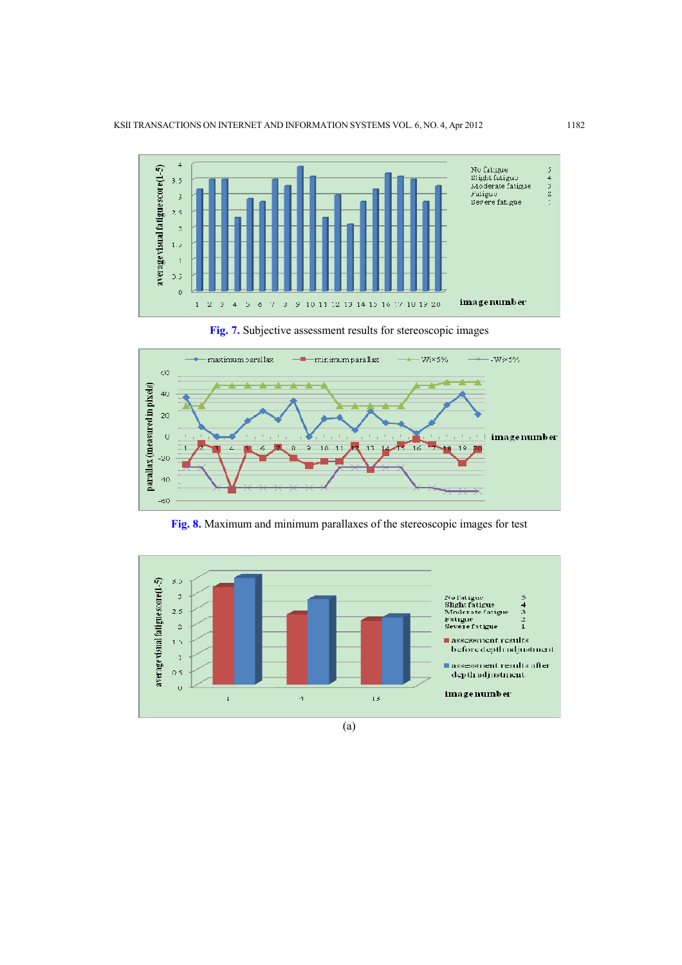

Fig. 7. Subjective assessment results for stereoscopic images



Fig. 8. Maximum and minimum parallaxes of the stereoscopic images for test



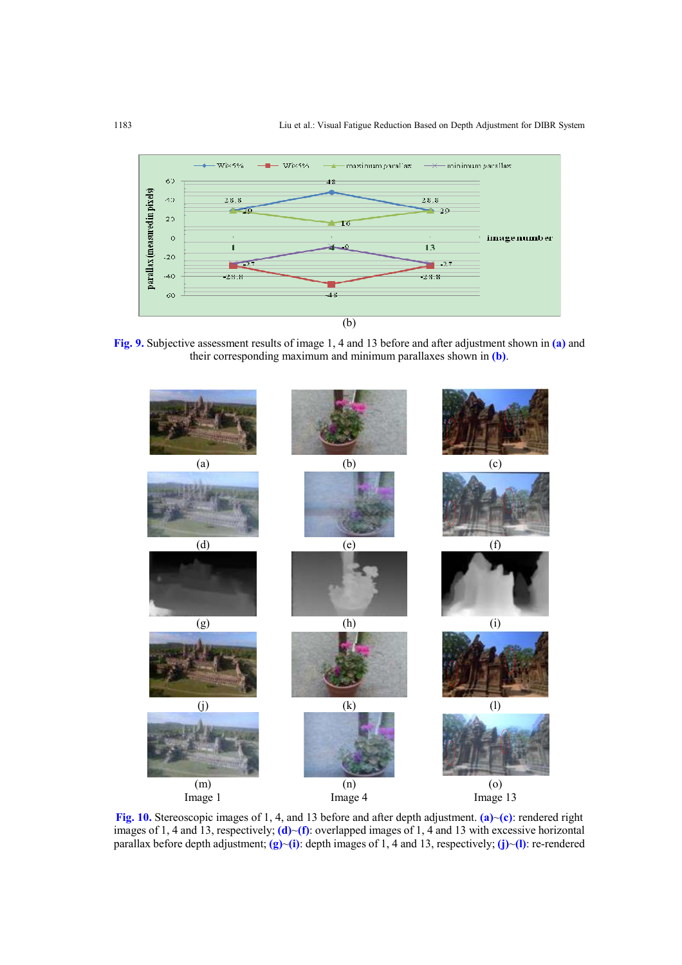

Fig. 9. Subjective assessment results of image 1, 4 and 13 before and after adjustment shown in (a) and their corresponding maximum and minimum parallaxes shown in (b).



Fig. 10. Stereoscopic images of 1, 4, and 13 before and after depth adjustment. (a)~(c): rendered right images of 1, 4 and 13, respectively; (d)~(f): overlapped images of 1, 4 and 13 with excessive horizontal parallax before depth adjustment;  $(g)$ ~(i): depth images of 1, 4 and 13, respectively; (j)~(l): re-rendered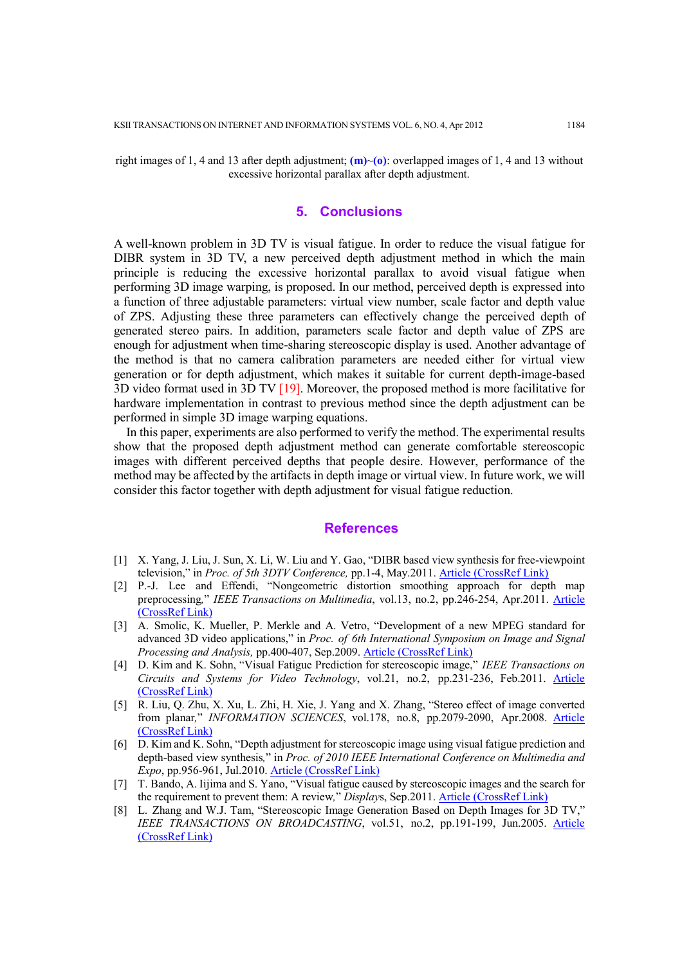right images of 1, 4 and 13 after depth adjustment;  $(m)$  (o): overlapped images of 1, 4 and 13 without excessive horizontal parallax after depth adjustment.

### 5. Conclusions

A well-known problem in 3D TV is visual fatigue. In order to reduce the visual fatigue for DIBR system in 3D TV, a new perceived depth adjustment method in which the main principle is reducing the excessive horizontal parallax to avoid visual fatigue when performing 3D image warping, is proposed. In our method, perceived depth is expressed into a function of three adjustable parameters: virtual view number, scale factor and depth value of ZPS. Adjusting these three parameters can effectively change the perceived depth of generated stereo pairs. In addition, parameters scale factor and depth value of ZPS are enough for adjustment when time-sharing stereoscopic display is used. Another advantage of the method is that no camera calibration parameters are needed either for virtual view generation or for depth adjustment, which makes it suitable for current depth-image-based 3D video format used in 3D TV [19]. Moreover, the proposed method is more facilitative for hardware implementation in contrast to previous method since the depth adjustment can be performed in simple 3D image warping equations.

In this paper, experiments are also performed to verify the method. The experimental results show that the proposed depth adjustment method can generate comfortable stereoscopic images with different perceived depths that people desire. However, performance of the method may be affected by the artifacts in depth image or virtual view. In future work, we will consider this factor together with depth adjustment for visual fatigue reduction.

#### **References**

- [1] X. Yang, J. Liu, J. Sun, X. Li, W. Liu and Y. Gao, "DIBR based view synthesis for free-viewpoint television," in Proc. of 5th 3DTV Conference, pp.1-4, May.2011. Article (CrossRef Link)
- [2] P.-J. Lee and Effendi, "Nongeometric distortion smoothing approach for depth map preprocessing," IEEE Transactions on Multimedia, vol.13, no.2, pp.246-254, Apr.2011. Article (CrossRef Link)
- [3] A. Smolic, K. Mueller, P. Merkle and A. Vetro, "Development of a new MPEG standard for advanced 3D video applications," in Proc. of 6th International Symposium on Image and Signal Processing and Analysis, pp.400-407, Sep.2009. Article (CrossRef Link)
- [4] D. Kim and K. Sohn, "Visual Fatigue Prediction for stereoscopic image," IEEE Transactions on Circuits and Systems for Video Technology, vol.21, no.2, pp.231-236, Feb.2011. Article (CrossRef Link)
- [5] R. Liu, Q. Zhu, X. Xu, L. Zhi, H. Xie, J. Yang and X. Zhang, "Stereo effect of image converted from planar," INFORMATION SCIENCES, vol.178, no.8, pp.2079-2090, Apr.2008. Article (CrossRef Link)
- [6] D. Kim and K. Sohn, "Depth adjustment for stereoscopic image using visual fatigue prediction and depth-based view synthesis," in Proc. of 2010 IEEE International Conference on Multimedia and Expo, pp.956-961, Jul.2010. Article (CrossRef Link)
- [7] T. Bando, A. Iijima and S. Yano, "Visual fatigue caused by stereoscopic images and the search for the requirement to prevent them: A review," Displays, Sep.2011. Article (CrossRef Link)
- [8] L. Zhang and W.J. Tam, "Stereoscopic Image Generation Based on Depth Images for 3D TV," IEEE TRANSACTIONS ON BROADCASTING, vol.51, no.2, pp.191-199, Jun.2005. Article (CrossRef Link)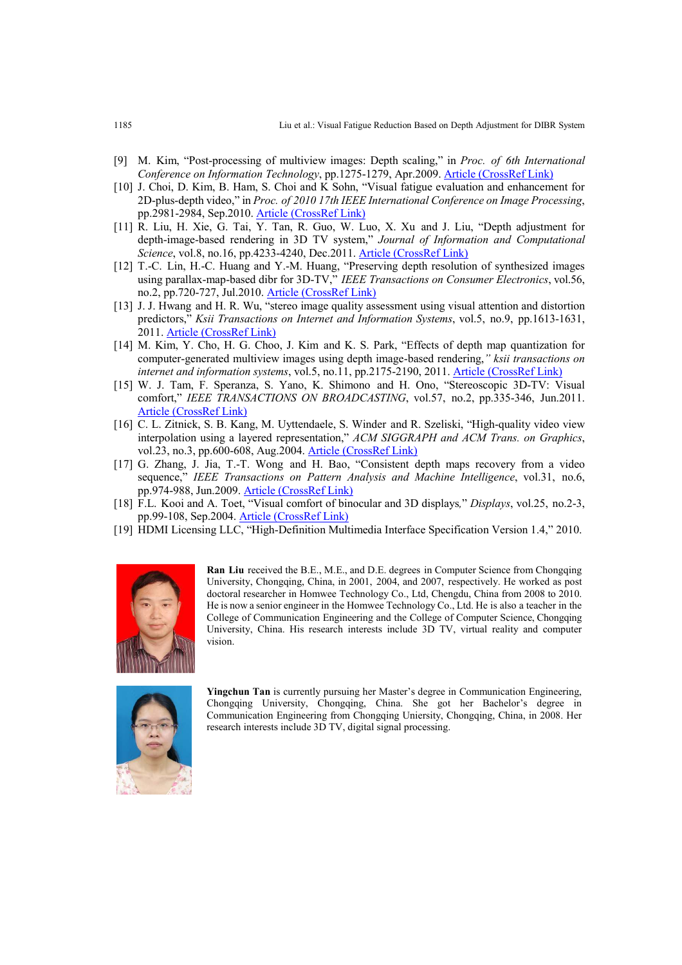- [9] M. Kim, "Post-processing of multiview images: Depth scaling," in Proc. of 6th International Conference on Information Technology, pp.1275-1279, Apr.2009. Article (CrossRef Link)
- [10] J. Choi, D. Kim, B. Ham, S. Choi and K Sohn, "Visual fatigue evaluation and enhancement for 2D-plus-depth video," in Proc. of 2010 17th IEEE International Conference on Image Processing, pp.2981-2984, Sep.2010. Article (CrossRef Link)
- [11] R. Liu, H. Xie, G. Tai, Y. Tan, R. Guo, W. Luo, X. Xu and J. Liu, "Depth adjustment for depth-image-based rendering in 3D TV system," Journal of Information and Computational Science, vol.8, no.16, pp.4233-4240, Dec.2011. Article (CrossRef Link)
- [12] T.-C. Lin, H.-C. Huang and Y.-M. Huang, "Preserving depth resolution of synthesized images using parallax-map-based dibr for 3D-TV," IEEE Transactions on Consumer Electronics, vol.56, no.2, pp.720-727, Jul.2010. Article (CrossRef Link)
- [13] J. J. Hwang and H. R. Wu, "stereo image quality assessment using visual attention and distortion predictors," Ksii Transactions on Internet and Information Systems, vol.5, no.9, pp.1613-1631, 2011. Article (CrossRef Link)
- [14] M. Kim, Y. Cho, H. G. Choo, J. Kim and K. S. Park, "Effects of depth map quantization for computer-generated multiview images using depth image-based rendering," *ksii transactions on* internet and information systems, vol.5, no.11, pp.2175-2190, 2011. Article (CrossRef Link)
- [15] W. J. Tam, F. Speranza, S. Yano, K. Shimono and H. Ono, "Stereoscopic 3D-TV: Visual comfort," IEEE TRANSACTIONS ON BROADCASTING, vol.57, no.2, pp.335-346, Jun.2011. Article (CrossRef Link)
- [16] C. L. Zitnick, S. B. Kang, M. Uyttendaele, S. Winder and R. Szeliski, "High-quality video view interpolation using a layered representation," ACM SIGGRAPH and ACM Trans. on Graphics, vol.23, no.3, pp.600-608, Aug.2004. **Article (CrossRef Link)**
- [17] G. Zhang, J. Jia, T.-T. Wong and H. Bao, "Consistent depth maps recovery from a video sequence," IEEE Transactions on Pattern Analysis and Machine Intelligence, vol.31, no.6, pp.974-988, Jun.2009. Article (CrossRef Link)
- [18] F.L. Kooi and A. Toet, "Visual comfort of binocular and 3D displays," Displays, vol.25, no.2-3, pp.99-108, Sep.2004. Article (CrossRef Link)
- [19] HDMI Licensing LLC, "High-Definition Multimedia Interface Specification Version 1.4," 2010.



Ran Liu received the B.E., M.E., and D.E. degrees in Computer Science from Chongqing University, Chongqing, China, in 2001, 2004, and 2007, respectively. He worked as post doctoral researcher in Homwee Technology Co., Ltd, Chengdu, China from 2008 to 2010. He is now a senior engineer in the Homwee Technology Co., Ltd. He is also a teacher in the College of Communication Engineering and the College of Computer Science, Chongqing University, China. His research interests include 3D TV, virtual reality and computer vision.



Yingchun Tan is currently pursuing her Master's degree in Communication Engineering, Chongqing University, Chongqing, China. She got her Bachelor's degree in Communication Engineering from Chongqing Uniersity, Chongqing, China, in 2008. Her research interests include 3D TV, digital signal processing.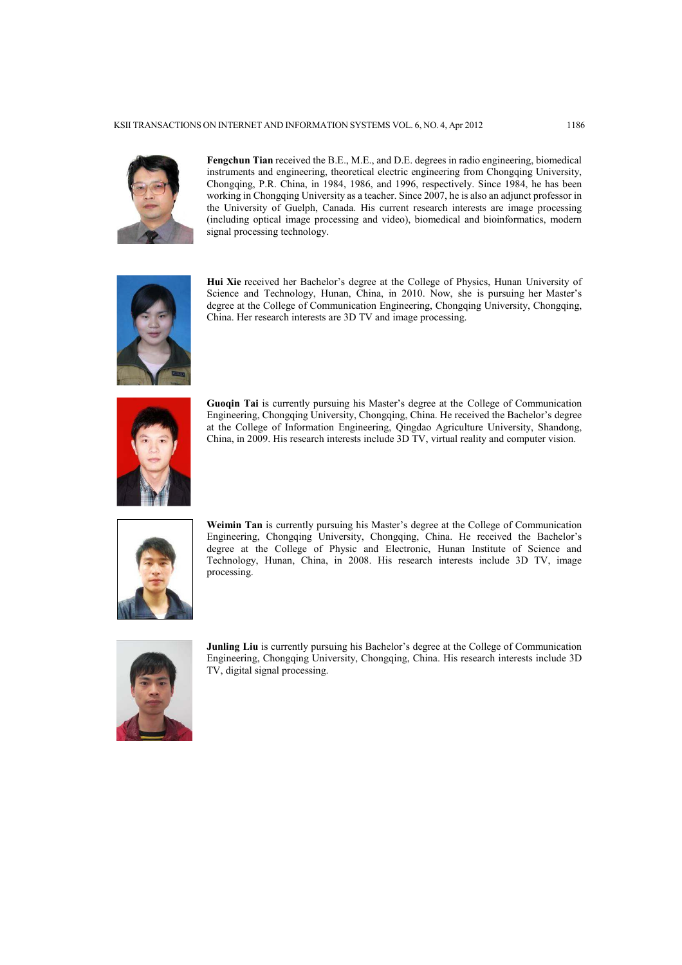

Fengchun Tian received the B.E., M.E., and D.E. degrees in radio engineering, biomedical instruments and engineering, theoretical electric engineering from Chongqing University, Chongqing, P.R. China, in 1984, 1986, and 1996, respectively. Since 1984, he has been working in Chongqing University as a teacher. Since 2007, he is also an adjunct professor in the University of Guelph, Canada. His current research interests are image processing (including optical image processing and video), biomedical and bioinformatics, modern signal processing technology.



Hui Xie received her Bachelor's degree at the College of Physics, Hunan University of Science and Technology, Hunan, China, in 2010. Now, she is pursuing her Master's degree at the College of Communication Engineering, Chongqing University, Chongqing, China. Her research interests are 3D TV and image processing.



Guoqin Tai is currently pursuing his Master's degree at the College of Communication Engineering, Chongqing University, Chongqing, China. He received the Bachelor's degree at the College of Information Engineering, Qingdao Agriculture University, Shandong, China, in 2009. His research interests include 3D TV, virtual reality and computer vision.



Weimin Tan is currently pursuing his Master's degree at the College of Communication Engineering, Chongqing University, Chongqing, China. He received the Bachelor's degree at the College of Physic and Electronic, Hunan Institute of Science and Technology, Hunan, China, in 2008. His research interests include 3D TV, image processing.



Junling Liu is currently pursuing his Bachelor's degree at the College of Communication Engineering, Chongqing University, Chongqing, China. His research interests include 3D TV, digital signal processing.